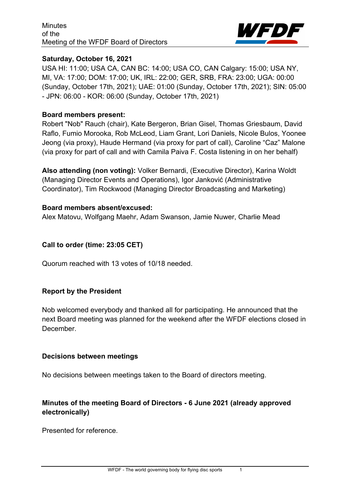

#### **Saturday, October 16, 2021**

USA HI: 11:00; USA CA, CAN BC: 14:00; USA CO, CAN Calgary: 15:00; USA NY, MI, VA: 17:00; DOM: 17:00; UK, IRL: 22:00; GER, SRB, FRA: 23:00; UGA: 00:00 (Sunday, October 17th, 2021); UAE: 01:00 (Sunday, October 17th, 2021); SIN: 05:00 - JPN: 06:00 - KOR: 06:00 (Sunday, October 17th, 2021)

#### **Board members present:**

Robert "Nob" Rauch (chair), Kate Bergeron, Brian Gisel, Thomas Griesbaum, David Raflo, Fumio Morooka, Rob McLeod, Liam Grant, Lori Daniels, Nicole Bulos, Yoonee Jeong (via proxy), Haude Hermand (via proxy for part of call), Caroline "Caz" Malone (via proxy for part of call and with Camila Paiva F. Costa listening in on her behalf)

**Also attending (non voting):** Volker Bernardi, (Executive Director), Karina Woldt (Managing Director Events and Operations), Igor Janković (Administrative Coordinator), Tim Rockwood (Managing Director Broadcasting and Marketing)

#### **Board members absent/excused:**

Alex Matovu, Wolfgang Maehr, Adam Swanson, Jamie Nuwer, Charlie Mead

### **Call to order (time: 23:05 CET)**

Quorum reached with 13 votes of 10/18 needed.

### **Report by the President**

Nob welcomed everybody and thanked all for participating. He announced that the next Board meeting was planned for the weekend after the WFDF elections closed in December.

#### **Decisions between meetings**

No decisions between meetings taken to the Board of directors meeting.

# **Minutes of the meeting Board of Directors - 6 June 2021 (already approved electronically)**

Presented for reference.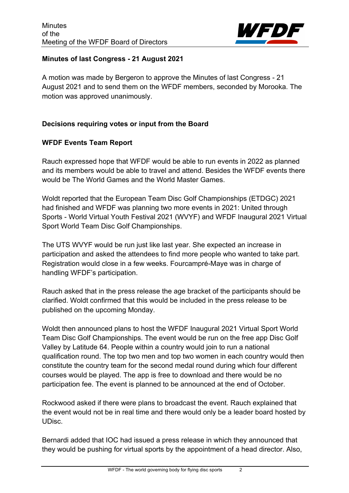

## **Minutes of last Congress - 21 August 2021**

A motion was made by Bergeron to approve the Minutes of last Congress - 21 August 2021 and to send them on the WFDF members, seconded by Morooka. The motion was approved unanimously.

### **Decisions requiring votes or input from the Board**

# **WFDF Events Team Report**

Rauch expressed hope that WFDF would be able to run events in 2022 as planned and its members would be able to travel and attend. Besides the WFDF events there would be The World Games and the World Master Games.

Woldt reported that the European Team Disc Golf Championships (ETDGC) 2021 had finished and WFDF was planning two more events in 2021: United through Sports - World Virtual Youth Festival 2021 (WVYF) and WFDF Inaugural 2021 Virtual Sport World Team Disc Golf Championships.

The UTS WVYF would be run just like last year. She expected an increase in participation and asked the attendees to find more people who wanted to take part. Registration would close in a few weeks. Fourcampré-Maye was in charge of handling WFDF's participation.

Rauch asked that in the press release the age bracket of the participants should be clarified. Woldt confirmed that this would be included in the press release to be published on the upcoming Monday.

Woldt then announced plans to host the WFDF Inaugural 2021 Virtual Sport World Team Disc Golf Championships. The event would be run on the free app Disc Golf Valley by Latitude 64. People within a country would join to run a national qualification round. The top two men and top two women in each country would then constitute the country team for the second medal round during which four different courses would be played. The app is free to download and there would be no participation fee. The event is planned to be announced at the end of October.

Rockwood asked if there were plans to broadcast the event. Rauch explained that the event would not be in real time and there would only be a leader board hosted by UDisc.

Bernardi added that IOC had issued a press release in which they announced that they would be pushing for virtual sports by the appointment of a head director. Also,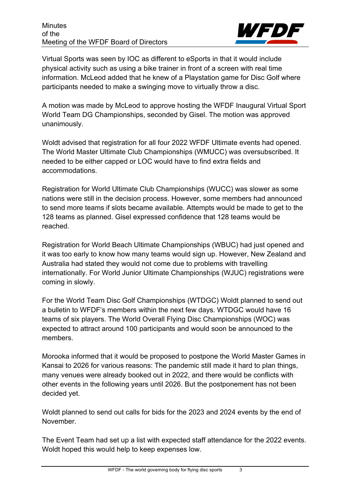

Virtual Sports was seen by IOC as different to eSports in that it would include physical activity such as using a bike trainer in front of a screen with real time information. McLeod added that he knew of a Playstation game for Disc Golf where participants needed to make a swinging move to virtually throw a disc.

A motion was made by McLeod to approve hosting the WFDF Inaugural Virtual Sport World Team DG Championships, seconded by Gisel. The motion was approved unanimously.

Woldt advised that registration for all four 2022 WFDF Ultimate events had opened. The World Master Ultimate Club Championships (WMUCC) was oversubscribed. It needed to be either capped or LOC would have to find extra fields and accommodations.

Registration for World Ultimate Club Championships (WUCC) was slower as some nations were still in the decision process. However, some members had announced to send more teams if slots became available. Attempts would be made to get to the 128 teams as planned. Gisel expressed confidence that 128 teams would be reached.

Registration for World Beach Ultimate Championships (WBUC) had just opened and it was too early to know how many teams would sign up. However, New Zealand and Australia had stated they would not come due to problems with travelling internationally. For World Junior Ultimate Championships (WJUC) registrations were coming in slowly.

For the World Team Disc Golf Championships (WTDGC) Woldt planned to send out a bulletin to WFDF's members within the next few days. WTDGC would have 16 teams of six players. The World Overall Flying Disc Championships (WOC) was expected to attract around 100 participants and would soon be announced to the members.

Morooka informed that it would be proposed to postpone the World Master Games in Kansai to 2026 for various reasons: The pandemic still made it hard to plan things, many venues were already booked out in 2022, and there would be conflicts with other events in the following years until 2026. But the postponement has not been decided yet.

Woldt planned to send out calls for bids for the 2023 and 2024 events by the end of November.

The Event Team had set up a list with expected staff attendance for the 2022 events. Woldt hoped this would help to keep expenses low.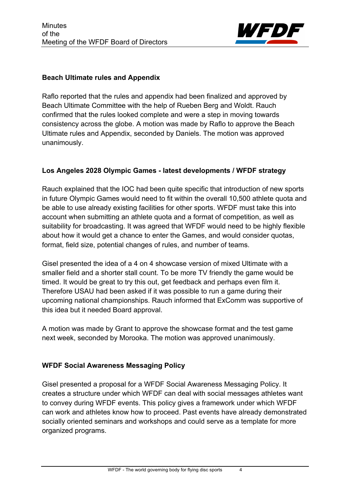

### **Beach Ultimate rules and Appendix**

Raflo reported that the rules and appendix had been finalized and approved by Beach Ultimate Committee with the help of Rueben Berg and Woldt. Rauch confirmed that the rules looked complete and were a step in moving towards consistency across the globe. A motion was made by Raflo to approve the Beach Ultimate rules and Appendix, seconded by Daniels. The motion was approved unanimously.

#### **Los Angeles 2028 Olympic Games - latest developments / WFDF strategy**

Rauch explained that the IOC had been quite specific that introduction of new sports in future Olympic Games would need to fit within the overall 10,500 athlete quota and be able to use already existing facilities for other sports. WFDF must take this into account when submitting an athlete quota and a format of competition, as well as suitability for broadcasting. It was agreed that WFDF would need to be highly flexible about how it would get a chance to enter the Games, and would consider quotas, format, field size, potential changes of rules, and number of teams.

Gisel presented the idea of a 4 on 4 showcase version of mixed Ultimate with a smaller field and a shorter stall count. To be more TV friendly the game would be timed. It would be great to try this out, get feedback and perhaps even film it. Therefore USAU had been asked if it was possible to run a game during their upcoming national championships. Rauch informed that ExComm was supportive of this idea but it needed Board approval.

A motion was made by Grant to approve the showcase format and the test game next week, seconded by Morooka. The motion was approved unanimously.

#### **WFDF Social Awareness Messaging Policy**

Gisel presented a proposal for a WFDF Social Awareness Messaging Policy. It creates a structure under which WFDF can deal with social messages athletes want to convey during WFDF events. This policy gives a framework under which WFDF can work and athletes know how to proceed. Past events have already demonstrated socially oriented seminars and workshops and could serve as a template for more organized programs.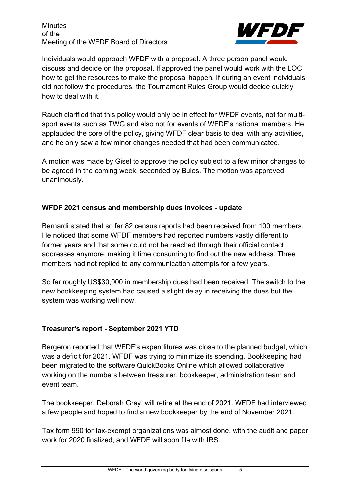

Individuals would approach WFDF with a proposal. A three person panel would discuss and decide on the proposal. If approved the panel would work with the LOC how to get the resources to make the proposal happen. If during an event individuals did not follow the procedures, the Tournament Rules Group would decide quickly how to deal with it.

Rauch clarified that this policy would only be in effect for WFDF events, not for multisport events such as TWG and also not for events of WFDF's national members. He applauded the core of the policy, giving WFDF clear basis to deal with any activities, and he only saw a few minor changes needed that had been communicated.

A motion was made by Gisel to approve the policy subject to a few minor changes to be agreed in the coming week, seconded by Bulos. The motion was approved unanimously.

### **WFDF 2021 census and membership dues invoices - update**

Bernardi stated that so far 82 census reports had been received from 100 members. He noticed that some WFDF members had reported numbers vastly different to former years and that some could not be reached through their official contact addresses anymore, making it time consuming to find out the new address. Three members had not replied to any communication attempts for a few years.

So far roughly US\$30,000 in membership dues had been received. The switch to the new bookkeeping system had caused a slight delay in receiving the dues but the system was working well now.

# **Treasurer's report - September 2021 YTD**

Bergeron reported that WFDF's expenditures was close to the planned budget, which was a deficit for 2021. WFDF was trying to minimize its spending. Bookkeeping had been migrated to the software QuickBooks Online which allowed collaborative working on the numbers between treasurer, bookkeeper, administration team and event team.

The bookkeeper, Deborah Gray, will retire at the end of 2021. WFDF had interviewed a few people and hoped to find a new bookkeeper by the end of November 2021.

Tax form 990 for tax-exempt organizations was almost done, with the audit and paper work for 2020 finalized, and WFDF will soon file with IRS.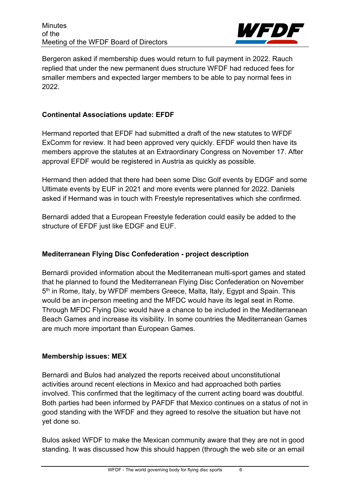

Bergeron asked if membership dues would return to full payment in 2022. Rauch replied that under the new permanent dues structure WFDF had reduced fees for smaller members and expected larger members to be able to pay normal fees in 2022.

### **Continental Associations update: EFDF**

Hermand reported that EFDF had submitted a draft of the new statutes to WFDF ExComm for review. It had been approved very quickly. EFDF would then have its members approve the statutes at an Extraordinary Congress on November 17. After approval EFDF would be registered in Austria as quickly as possible.

Hermand then added that there had been some Disc Golf events by EDGF and some Ultimate events by EUF in 2021 and more events were planned for 2022. Daniels asked if Hermand was in touch with Freestyle representatives which she confirmed.

Bernardi added that a European Freestyle federation could easily be added to the structure of EFDF just like EDGF and EUF.

### **Mediterranean Flying Disc Confederation - project description**

Bernardi provided information about the Mediterranean multi-sport games and stated that he planned to found the Mediterranean Flying Disc Confederation on November 5<sup>th</sup> in Rome, Italy, by WFDF members Greece, Malta, Italy, Egypt and Spain. This would be an in-person meeting and the MFDC would have its legal seat in Rome. Through MFDC Flying Disc would have a chance to be included in the Mediterranean Beach Games and increase its visibility. In some countries the Mediterranean Games are much more important than European Games.

### **Membership issues: MEX**

Bernardi and Bulos had analyzed the reports received about unconstitutional activities around recent elections in Mexico and had approached both parties involved. This confirmed that the legitimacy of the current acting board was doubtful. Both parties had been informed by PAFDF that Mexico continues on a status of not in good standing with the WFDF and they agreed to resolve the situation but have not yet done so.

Bulos asked WFDF to make the Mexican community aware that they are not in good standing. It was discussed how this should happen (through the web site or an email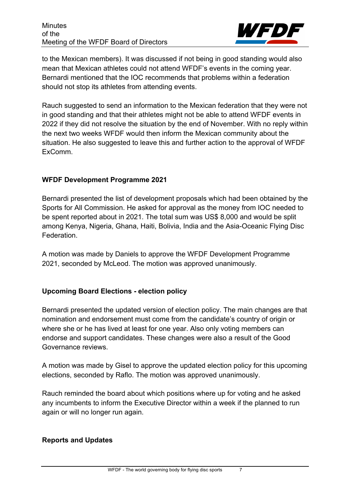

to the Mexican members). It was discussed if not being in good standing would also mean that Mexican athletes could not attend WFDF's events in the coming year. Bernardi mentioned that the IOC recommends that problems within a federation should not stop its athletes from attending events.

Rauch suggested to send an information to the Mexican federation that they were not in good standing and that their athletes might not be able to attend WFDF events in 2022 if they did not resolve the situation by the end of November. With no reply within the next two weeks WFDF would then inform the Mexican community about the situation. He also suggested to leave this and further action to the approval of WFDF ExComm.

## **WFDF Development Programme 2021**

Bernardi presented the list of development proposals which had been obtained by the Sports for All Commission. He asked for approval as the money from IOC needed to be spent reported about in 2021. The total sum was US\$ 8,000 and would be split among Kenya, Nigeria, Ghana, Haiti, Bolivia, India and the Asia-Oceanic Flying Disc Federation.

A motion was made by Daniels to approve the WFDF Development Programme 2021, seconded by McLeod. The motion was approved unanimously.

# **Upcoming Board Elections - election policy**

Bernardi presented the updated version of election policy. The main changes are that nomination and endorsement must come from the candidate's country of origin or where she or he has lived at least for one year. Also only voting members can endorse and support candidates. These changes were also a result of the Good Governance reviews.

A motion was made by Gisel to approve the updated election policy for this upcoming elections, seconded by Raflo. The motion was approved unanimously.

Rauch reminded the board about which positions where up for voting and he asked any incumbents to inform the Executive Director within a week if the planned to run again or will no longer run again.

### **Reports and Updates**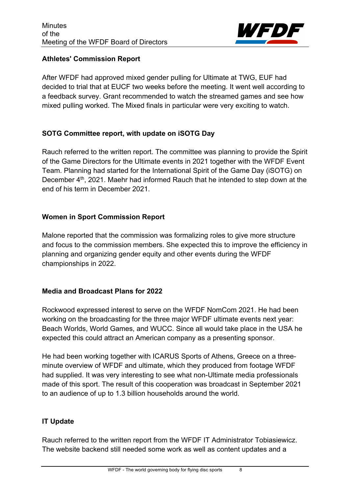

### **Athletes' Commission Report**

After WFDF had approved mixed gender pulling for Ultimate at TWG, EUF had decided to trial that at EUCF two weeks before the meeting. It went well according to a feedback survey. Grant recommended to watch the streamed games and see how mixed pulling worked. The Mixed finals in particular were very exciting to watch.

## **SOTG Committee report, with update on iSOTG Day**

Rauch referred to the written report. The committee was planning to provide the Spirit of the Game Directors for the Ultimate events in 2021 together with the WFDF Event Team. Planning had started for the International Spirit of the Game Day (iSOTG) on December 4<sup>th</sup>, 2021. Maehr had informed Rauch that he intended to step down at the end of his term in December 2021.

## **Women in Sport Commission Report**

Malone reported that the commission was formalizing roles to give more structure and focus to the commission members. She expected this to improve the efficiency in planning and organizing gender equity and other events during the WFDF championships in 2022.

# **Media and Broadcast Plans for 2022**

Rockwood expressed interest to serve on the WFDF NomCom 2021. He had been working on the broadcasting for the three major WFDF ultimate events next year: Beach Worlds, World Games, and WUCC. Since all would take place in the USA he expected this could attract an American company as a presenting sponsor.

He had been working together with ICARUS Sports of Athens, Greece on a threeminute overview of WFDF and ultimate, which they produced from footage WFDF had supplied. It was very interesting to see what non-Ultimate media professionals made of this sport. The result of this cooperation was broadcast in September 2021 to an audience of up to 1.3 billion households around the world.

# **IT Update**

Rauch referred to the written report from the WFDF IT Administrator Tobiasiewicz. The website backend still needed some work as well as content updates and a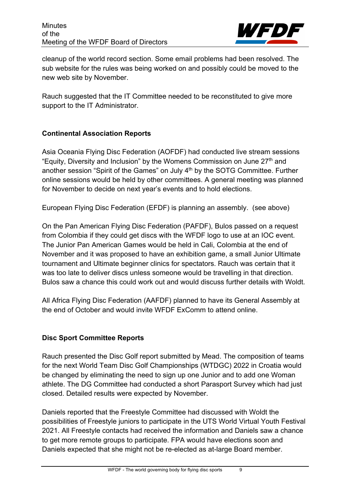

cleanup of the world record section. Some email problems had been resolved. The sub website for the rules was being worked on and possibly could be moved to the new web site by November.

Rauch suggested that the IT Committee needed to be reconstituted to give more support to the IT Administrator.

## **Continental Association Reports**

Asia Oceania Flying Disc Federation (AOFDF) had conducted live stream sessions "Equity, Diversity and Inclusion" by the Womens Commission on June  $27<sup>th</sup>$  and another session "Spirit of the Games" on July 4<sup>th</sup> by the SOTG Committee. Further online sessions would be held by other committees. A general meeting was planned for November to decide on next year's events and to hold elections.

European Flying Disc Federation (EFDF) is planning an assembly. (see above)

On the Pan American Flying Disc Federation (PAFDF), Bulos passed on a request from Colombia if they could get discs with the WFDF logo to use at an IOC event. The Junior Pan American Games would be held in Cali, Colombia at the end of November and it was proposed to have an exhibition game, a small Junior Ultimate tournament and Ultimate beginner clinics for spectators. Rauch was certain that it was too late to deliver discs unless someone would be travelling in that direction. Bulos saw a chance this could work out and would discuss further details with Woldt.

All Africa Flying Disc Federation (AAFDF) planned to have its General Assembly at the end of October and would invite WFDF ExComm to attend online.

# **Disc Sport Committee Reports**

Rauch presented the Disc Golf report submitted by Mead. The composition of teams for the next World Team Disc Golf Championships (WTDGC) 2022 in Croatia would be changed by eliminating the need to sign up one Junior and to add one Woman athlete. The DG Committee had conducted a short Parasport Survey which had just closed. Detailed results were expected by November.

Daniels reported that the Freestyle Committee had discussed with Woldt the possibilities of Freestyle juniors to participate in the UTS World Virtual Youth Festival 2021. All Freestyle contacts had received the information and Daniels saw a chance to get more remote groups to participate. FPA would have elections soon and Daniels expected that she might not be re-elected as at-large Board member.